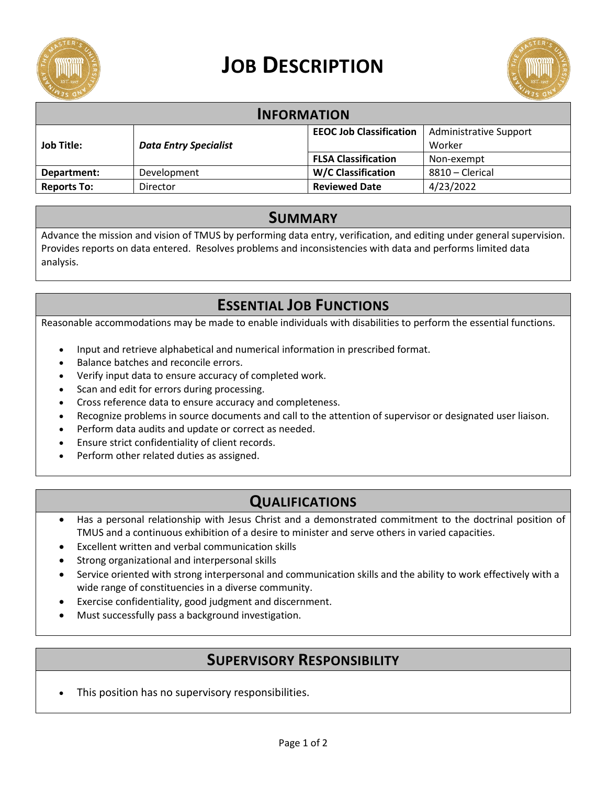

# **JOB DESCRIPTION**



| <b>INFORMATION</b> |                              |                                |                               |
|--------------------|------------------------------|--------------------------------|-------------------------------|
|                    |                              | <b>EEOC Job Classification</b> | <b>Administrative Support</b> |
| <b>Job Title:</b>  | <b>Data Entry Specialist</b> |                                | Worker                        |
|                    |                              | <b>FLSA Classification</b>     | Non-exempt                    |
| Department:        | Development                  | <b>W/C Classification</b>      | 8810 - Clerical               |
| <b>Reports To:</b> | Director                     | <b>Reviewed Date</b>           | 4/23/2022                     |

#### **SUMMARY**

Advance the mission and vision of TMUS by performing data entry, verification, and editing under general supervision. Provides reports on data entered. Resolves problems and inconsistencies with data and performs limited data analysis.

# **ESSENTIAL JOB FUNCTIONS**

Reasonable accommodations may be made to enable individuals with disabilities to perform the essential functions.

- Input and retrieve alphabetical and numerical information in prescribed format.
- Balance batches and reconcile errors.
- Verify input data to ensure accuracy of completed work.
- Scan and edit for errors during processing.
- Cross reference data to ensure accuracy and completeness.
- Recognize problems in source documents and call to the attention of supervisor or designated user liaison.
- Perform data audits and update or correct as needed.
- Ensure strict confidentiality of client records.
- Perform other related duties as assigned.

# **QUALIFICATIONS**

- Has a personal relationship with Jesus Christ and a demonstrated commitment to the doctrinal position of TMUS and a continuous exhibition of a desire to minister and serve others in varied capacities.
- Excellent written and verbal communication skills
- Strong organizational and interpersonal skills
- Service oriented with strong interpersonal and communication skills and the ability to work effectively with a wide range of constituencies in a diverse community.
- Exercise confidentiality, good judgment and discernment.
- Must successfully pass a background investigation.

#### **SUPERVISORY RESPONSIBILITY**

This position has no supervisory responsibilities.